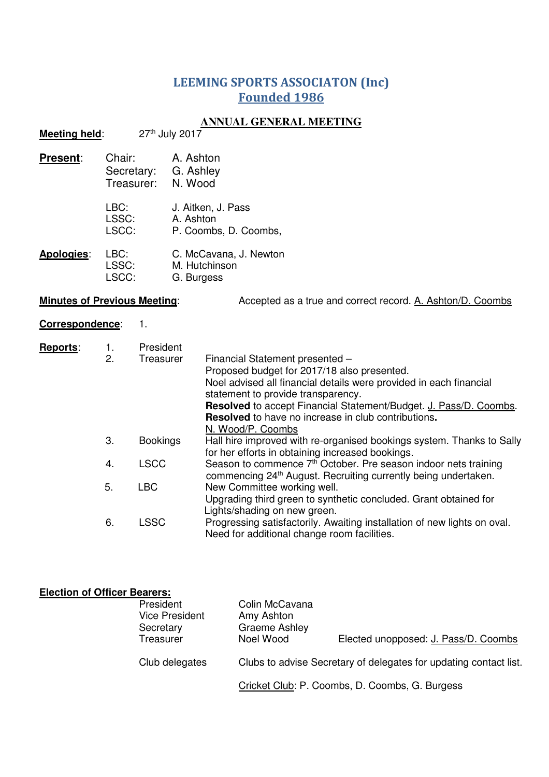## LEEMING SPORTS ASSOCIATON (Inc) Founded 1986

## **ANNUAL GENERAL MEETING**

| <b>Meeting held:</b>                                                                              |                        | <u>INTROIDE CERTERALE MEET INTO</u><br>27th July 2017        |                                 |                                                                                                                                                                                                                                                                                                                                                    |                                                                                                                                                           |  |  |  |  |                                      |
|---------------------------------------------------------------------------------------------------|------------------------|--------------------------------------------------------------|---------------------------------|----------------------------------------------------------------------------------------------------------------------------------------------------------------------------------------------------------------------------------------------------------------------------------------------------------------------------------------------------|-----------------------------------------------------------------------------------------------------------------------------------------------------------|--|--|--|--|--------------------------------------|
| Chair:<br>Present:<br>Secretary:<br>Treasurer:<br>LBC:<br>LSSC:<br>LSCC:                          |                        | A. Ashton<br>G. Ashley<br>N. Wood                            |                                 |                                                                                                                                                                                                                                                                                                                                                    |                                                                                                                                                           |  |  |  |  |                                      |
|                                                                                                   |                        |                                                              | J. Aitken, J. Pass<br>A. Ashton |                                                                                                                                                                                                                                                                                                                                                    | P. Coombs, D. Coombs,                                                                                                                                     |  |  |  |  |                                      |
| Apologies:                                                                                        | LBC:<br>LSSC:<br>LSCC: |                                                              | M. Hutchinson<br>G. Burgess     |                                                                                                                                                                                                                                                                                                                                                    | C. McCavana, J. Newton                                                                                                                                    |  |  |  |  |                                      |
| <b>Minutes of Previous Meeting:</b><br>Accepted as a true and correct record. A. Ashton/D. Coombs |                        |                                                              |                                 |                                                                                                                                                                                                                                                                                                                                                    |                                                                                                                                                           |  |  |  |  |                                      |
| Correspondence:                                                                                   |                        | 1.                                                           |                                 |                                                                                                                                                                                                                                                                                                                                                    |                                                                                                                                                           |  |  |  |  |                                      |
| Reports:                                                                                          | 1.<br>2.               | President<br>Treasurer<br><b>Bookings</b>                    |                                 | Financial Statement presented -<br>Proposed budget for 2017/18 also presented.<br>Noel advised all financial details were provided in each financial<br>statement to provide transparency.<br>Resolved to accept Financial Statement/Budget. J. Pass/D. Coombs.<br><b>Resolved</b> to have no increase in club contributions.<br>N. Wood/P. Coombs |                                                                                                                                                           |  |  |  |  |                                      |
|                                                                                                   | 3.                     |                                                              |                                 | Hall hire improved with re-organised bookings system. Thanks to Sally<br>for her efforts in obtaining increased bookings.                                                                                                                                                                                                                          |                                                                                                                                                           |  |  |  |  |                                      |
|                                                                                                   | 4.                     | <b>LSCC</b>                                                  |                                 |                                                                                                                                                                                                                                                                                                                                                    | Season to commence 7 <sup>th</sup> October. Pre season indoor nets training<br>commencing 24 <sup>th</sup> August. Recruiting currently being undertaken. |  |  |  |  |                                      |
|                                                                                                   | 5.                     | <b>LBC</b>                                                   |                                 |                                                                                                                                                                                                                                                                                                                                                    | New Committee working well.<br>Upgrading third green to synthetic concluded. Grant obtained for<br>Lights/shading on new green.                           |  |  |  |  |                                      |
|                                                                                                   | 6.                     | <b>LSSC</b>                                                  |                                 | Progressing satisfactorily. Awaiting installation of new lights on oval.<br>Need for additional change room facilities.                                                                                                                                                                                                                            |                                                                                                                                                           |  |  |  |  |                                      |
| <b>Election of Officer Bearers:</b>                                                               |                        | President<br><b>Vice President</b><br>Secretary<br>Treasurer |                                 |                                                                                                                                                                                                                                                                                                                                                    | Colin McCavana<br>Amy Ashton<br><b>Graeme Ashley</b><br>Noel Wood                                                                                         |  |  |  |  | Elected unopposed: J. Pass/D. Coombs |

Club delegates Clubs to advise Secretary of delegates for updating contact list.

Cricket Club: P. Coombs, D. Coombs, G. Burgess